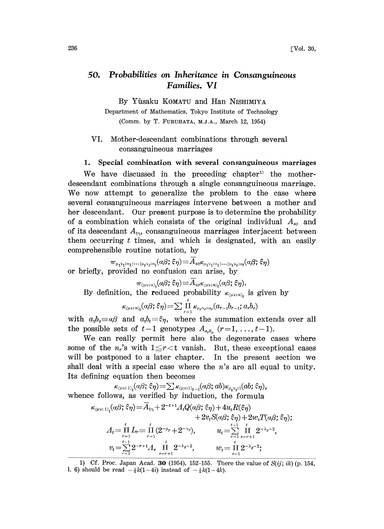## 50. Probabilities on Inheritance in Consanguineous Families. VI

By Yûsaku KOMATU and Han NISHIMIYA

Department of Mathematics, Tokyo Institute of Technology (Comm. by T. FURUHATA, M.J.A., March 12, 1954)

- VI. Mother-descendant combinations through several consanguineous marriages
- 1. Special combination with several consanguineous marriages

We have discussed in the preceding chapter<sup>1)</sup> the motherdescendant combinations through a single consanguineous marriage. We now attempt to generalize the problem to the case where several consanguineous marriages intervene between a mother and her descendant. Our present purpose is to determine the probability of a combination which consists of the original individual  $A_{\alpha\beta}$  and of its descendant  $A_{\xi\eta}$ , consanguineous marriages interjacent between them occurring  $t$  times, and which is designated, with an easily comprehensible routine notation, by

 $\pi_{\mu_1\nu_1;\cdot n_1| \cdots |\mu_t\nu_t;\cdot n_t}(\alpha\beta;\xi\eta)\hspace{-0.03in} \equiv \hspace{-0.03in}\bar{A}_{a\beta}\kappa_{\mu_1\nu_1;\cdot n_1| \cdots |\mu_t\nu_t;\cdot n_t}(\alpha\beta;\xi\eta)$ or briefly, provided no confusion can arise, by

$$
\pi_{\scriptscriptstyle (\mu\nu; n),}(\alpha\beta;\bar{\xi}\eta)\!\equiv\! A_{\scriptscriptstyle \alpha\beta}\kappa_{\scriptscriptstyle (\mu\nu; n),}(\alpha\beta;\bar{\xi}\eta).
$$

By definition, the reduced probability 
$$
\kappa_{(\mu\nu;n)}_{t}
$$
 is given by\n
$$
\kappa_{(\mu\nu;n)}_{t}(a\beta;\xi\eta) = \sum_{r=1}^{t} \prod_{\mu_{\mu} \nu_{\mu}; n_{\mu}} (a_{r-1}b_{r-1}; a_{r}b_{r})
$$

with  $a_0b_0 \equiv \alpha\beta$  and  $a_ib_i \equiv \xi\eta$ , where the summation extends over all the possible sets of  $t-1$  genotypes  $A_{a_r b_r}$   $(r=1, \ldots, t-1)$ .

We can really permit here also the degenerate cases where some of the  $n_r$ 's with  $1 \leq r < t$  vanish. But, these exceptional cases will be postponed to a later chapter. In the present section we shall deal with a special case where the  $n$ 's are all equal to unity. Its defining equation then becomes

 $\kappa_{\text{L}(W; 1),t}(a\beta;\xi\eta) = \sum \kappa_{\text{L}(W; 1),t-1}(a\beta;ab)\kappa_{\mu_t\nu_t;1}(ab;\xi\eta),$ whence follows, as verified by induetion, the formula

$$
\kappa_{\text{QPV};\;1\rangle_t}(\alpha\beta;\,\xi\eta) = \overline{A}_{\xi\eta} + 2^{-t+1} \Lambda_t Q(\alpha\beta;\,\xi\eta) + 4u_t R(\xi\eta) \n+ 2v_t S(\alpha\beta;\,\xi\eta) + 2w_t T(\alpha\beta;\,\xi\eta); \nA_t = \prod_{r=1}^t L_r = \prod_{r=1}^t (2^{-\mu_r} + 2^{-\nu_r}), \qquad u_t = \sum_{r=1}^{t-1} \prod_{s=r+1}^t 2^{-\lambda_s-2}, \nv_t = \sum_{r=1}^{t-1} 2^{-r+1} \Lambda_r \prod_{s=r+1}^t 2^{-\lambda_s-2}, \qquad w_t = \prod_{s=1}^t 2^{-\lambda_s-2};
$$

<sup>1)</sup> Cf. Proc. Japan Acad. 30 (1954), 152-155. There the value of  $S(ij; ik)$  (p. 154, 1. 6) should be read  $-\frac{1}{4}k(1-4i)$  instead of  $-\frac{1}{4}k(1-4k)$ .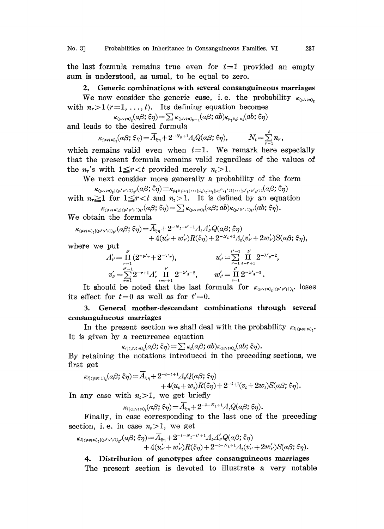## No. 3] Probabilities on Inheritance in Consanguineous Families. VI 237

the last formula remains true even for  $t=1$  provided an empty sum is understood, as usual, to be equal to zero.

2. Generic combinations with several consanguineous marriages We now consider the generic case, i.e. the probability  $\kappa_{\text{curv},\text{av}}$ . with  $n_r > 1$  ( $r=1, \ldots, t$ ). Its defining equation becomes

 $\kappa_{\mu\nu;\,n_{\mu}}(a\beta;\xi\eta) = \sum \kappa_{\mu\nu;\,n_{\lambda-1}}(a\beta;ab)\kappa_{\mu_{\lambda}\nu_{\lambda};\,n_{\mu}}(ab;\xi\eta)$ and leads to the desired formula

> $\kappa_{\text{\tiny (}\mu \text{\tiny V$)}:\text{\tiny $n$}\text{\tiny $y$}}(\alpha \beta;\hat{\epsilon} \text{\tiny $\eta$}) \!=\! \overline{A}_{\text{\tiny $\xi$}\text{\tiny $\eta$}} \!+\! 2^{-N_t+1} A_t Q(\alpha \beta;\hat{\epsilon} \text{\tiny $\eta$}),$  $N_t = \sum_{r=1}^{t} n_r,$

which remains valid even when  $t=1$ . We remark here especially that the present formula remains valid regardless of the values of the  $n_r$ 's with  $1 \leq r < t$  provided merely  $n_t > 1$ .

We next consider more generally <sup>a</sup> probability of the form

with 
$$
n_r \geq 1
$$
 for  $1 \leq r < t$  and  $n_t > 1$ . It is defined by an equation  
\n
$$
\kappa_{\langle \mu \nu; n \rangle_t | \langle \mu' \nu'; 1 \rangle_t}(\alpha \beta; \xi \eta) = \kappa_{\mu_1 \nu_1; n_1 | \dots | \mu_t \nu_t; n_t | \mu_1' \nu_1' \dots | \mu'_{t'} \nu'_{t'}; 1}(\alpha \beta; \xi \eta)
$$
\nwith  $n_r \geq 1$  for  $1 \leq r < t$  and  $n_t > 1$ . It is defined by an equation  
\n
$$
\kappa_{\langle \mu \nu; n \rangle_t | \langle \mu' \nu'; 1 \rangle_t}(\alpha \beta; \xi \eta) = \sum_{\kappa_{\langle \mu \nu; n \rangle_t}(\alpha \beta; \alpha b) \kappa_{\langle \mu' \nu'; 1 \rangle_t}(\alpha b; \xi \eta).
$$

We obtain the formula

$$
\begin{aligned} \kappa_{\langle\mu\nu;\,n\rangle_t|\langle\mu'\nu';1\rangle_{t'}}(a\beta;\,\hat{\varepsilon}\eta) &= \overline{A}_{\varepsilon\eta} + 2^{-N_t - t'+1} A_t A_{t'}' Q(a\beta;\,\hat{\varepsilon}\eta) \\ &+ 4(u_{t'}' + w_{t'}') R(\hat{\varepsilon}\eta) + 2^{-N_t + 1} A_t (v_{t'}' + 2w_{t'}') S(a\beta;\,\hat{\varepsilon}\eta), \end{aligned}
$$

where we put

$$
+4(u'_{\nu'}+w'_{\nu'})R(\xi\eta)+2^{-N_t+1}A_t(v'_{\nu'}+2w'_{\nu'})S
$$
put  

$$
A'_{\nu'}=\prod_{r=1}^{\nu'}(2^{-\mu'r}+2^{-\nu'r}), \qquad \qquad u'_{\nu'}=\sum_{r=1}^{\nu'-1}\prod_{s=r+1}^{\nu'}2^{-\lambda's-2},
$$

$$
v'_{\nu'}=\sum_{r=1}^{\nu'-1}2^{-r+1}A'_{r}\prod_{s=r+1}^{\nu'}2^{-\lambda's-2}, \qquad w'_{\nu'}=\prod_{s=1}^{\nu'}2^{-\lambda's-2}.
$$

It should be noted that the last formula for  $\kappa_{(\mu\nu;\nu;\mu)}\epsilon^{(-1)}$  loses its effect for  $t=0$  as well as for  $t'=0$ .

## 3. General mother.descendant combinations through several consanguineous marriages

In the present section we shall deal with the probability  $\kappa_{l(\mu\nu;\;n)}$ . It is given by a recurrence equation  $\kappa_{\ell^1(\mu\nu;\,n)}(a\beta;\tilde{\epsilon}\eta) = \sum \kappa_{\ell}(a\beta;ab)\kappa_{(\mu\nu;\,n)}(ab;\tilde{\epsilon}\eta).$ 

$$
\mathcal{L}_{\mathcal{U}(\mu\mathcal{V};\,n\mathcal{U})}(\alpha\beta;\,\varepsilon\eta) = \sum \kappa_i(\alpha\beta;\,ab)\kappa_{(\mu\mathcal{V};\,n\mathcal{U})}(\alpha b;\,\varepsilon\eta).
$$

By retaining the notations introduced in the preceding sections, we first get

$$
\kappa_{\ell(\text{cav}; 1)_t}(a\beta; \xi\eta) = \overline{A}_{\xi\eta} + 2^{-t-t+1}A_tQ(a\beta; \xi\eta) + 4(u_t+w_t)R(\xi\eta) + 2^{-t+1}(v_t+2w_t)S(a\beta; \xi\eta).
$$

In any case with  $n<sub>t</sub> > 1$ , we get briefly

$$
\kappa_{l(\mathfrak{l}_t\mathfrak{w};\,n)_t}(a\beta;\,\xi\eta)\!=\!\overline{A}_{\xi\eta}+2^{-t-N_t+1}A_tQ(a\beta;\,\xi\eta).
$$

Finally, in case corresponding to the last one of the preceding section, i.e. in case  $n<sub>i</sub> > 1$ , we get

$$
\kappa_{l(\mu\nu;\,n)}_{t}(\mu'\nu';\,1)}_{t'}(a\beta;\,\xi\eta) = \overline{A}_{\xi\eta} + 2^{-l-N_t-t'+1}A_tA'_{t'}Q(a\beta;\,\xi\eta) + 4(u'_{t'}+w'_{t'})R(\xi\eta) + 2^{-l-N_t+1}A_t(v'_{t'}+2w'_{t'})S(a\beta;\,\xi\eta).
$$

4. Distribution of genotypes after consanguineous marriages The present section is devoted to illustrate a very notable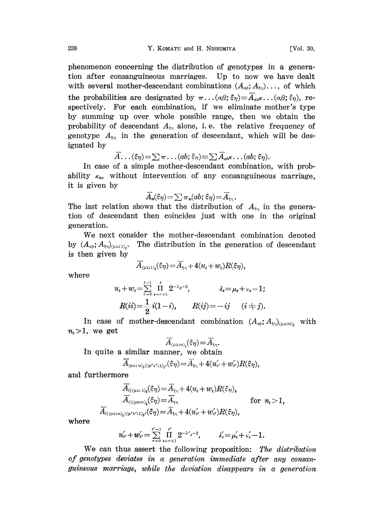phenomenon concerning the distribution of genotypes in a generation after consanguineous marriages. Up to now we have dealt with several mother-descendant combinations  $(A_{\alpha\beta}; A_{\xi\gamma})$ ..., of which the probabilities are designated by  $\pi \dots (\alpha \beta; \xi \eta) = \overline{A}_{\alpha \beta} \kappa \dots (\alpha \beta; \xi \eta)$ , respectively. For each combination, if we eliminate mother's type by summing up over whole possible range, then we obtain the probability of descendant  $A_{\xi_{\eta}}$  alone, i.e. the relative frequency of genotype  $A_{\xi_{\eta}}$  in the generation of descendant, which will be designated by

$$
\overline{A}\ldots(\xi\eta) = \sum \pi \ldots (ab; \xi\eta) \equiv \sum \overline{A}_{ab} \kappa \ldots (ab; \xi\eta).
$$

In ease of a simple mother-descendant combination, with probability  $\kappa_n$ , without intervention of any consanguineous marriage, it is given by

$$
\overline{A}_n(\hat{\varepsilon}\eta) \!=\! \sum \pi_n(ab;\hat{\varepsilon}\eta) \!=\! \overline{A}_{\scriptscriptstyle\bar{\varepsilon}\eta} \, .
$$

The last relation shows that the distribution of  $A_{\xi_{\eta}}$  in the generation of descendant then coincides just with one in the original generation.

We next consider the mother-descendant combination denoted by  $(A_{\alpha\beta}; A_{\xi\gamma})_{(\mu\nu;\,1)}$ . The distribution in the generation of descendant is then given by

$$
\overline{A}_{\text{GUT},1}\left(\xi\eta\right) = \overline{A}_{\xi\eta} + 4(u_t + w_t)R(\xi\eta),
$$

where

$$
u_{t} + w_{t} = \sum_{r=0}^{t-1} \prod_{s=r+1}^{t} 2^{-\lambda_{s}-2}, \qquad \lambda_{s} = \mu_{s} + \nu_{s} - 1;
$$
  

$$
R(ii) = \frac{1}{2}i(1-i), \qquad R(ij) = -ij \qquad (i \neq j).
$$

In case of mother-descendant combination  $(A_{\alpha\beta}; A_{\epsilon\gamma})_{(\mu\nu;\gamma)}$ , with  $n_{i}$  > 1, we get

$$
\overline{A}_{\scriptscriptstyle ( \mu\nu; n)_{\scriptscriptstyle \ell}} (\varepsilon_\eta) {=} \overline{A}_{\scriptscriptstyle \xi \eta}.
$$

In quite a similar manner, we obtain

$$
\overline{A}_{\langle\mu\nu;\;n\rangle_{t}|\langle\mu'\nu';1\rangle_{t'}}(\xi\eta) = \overline{A}_{\xi\eta} + 4(u'_{\nu'}+w'_{\nu'})R(\xi\eta),
$$

and furthermore

$$
\overline{A}_{l|_{\langle \mu\nu;\,:\,\nu\rangle_t}}(\xi\eta) = \overline{A}_{\xi\eta} + 4(u_t+w_t)R(\xi\eta),
$$
\n
$$
\overline{A}_{l|_{\langle \mu\nu;\,:\nu\rangle_t}}(\xi\eta) = \overline{A}_{\xi\eta} \qquad \text{for } n_t > 1,
$$
\n
$$
\overline{A}_{l|_{\langle \mu\nu;\,:\nu\rangle_t}(\psi'\vee;\,\nu\rangle_t}(\xi\eta) = \overline{A}_{\xi\eta} + 4(u'_{\iota'}+w'_{\iota'})R(\xi\eta),
$$

where

$$
u'_{\nu'}+w'_{\nu'}=\sum_{r=0}^{\nu'-1}\prod_{s=r+1}^{\iota'}2^{-\lambda'}s^{-2},\qquad \ \lambda'_s=\mu'_s+\nu'_s-1.
$$

We can thus assert the following proposition: The distribution of genotypes deviates in a generation immediate after any consanguineous marriage, while the deviation disappears in a generation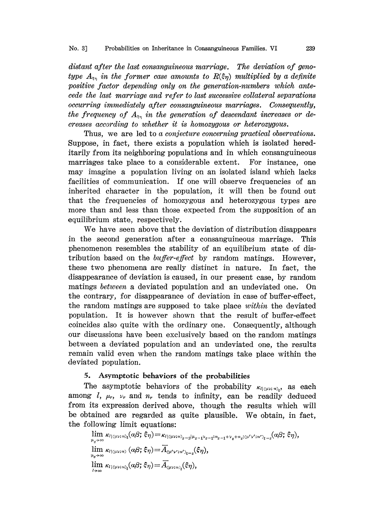distant after the last consanguineous narriage, The deviation of genotype  $A_{\xi\eta}$  in the former case amounts to  $R(\xi\eta)$  multiplied by a definite positive factor depending only on the generation-numbers which antecede the last marriage and refer to last successive collateral separations occurring immediately after consanguineous marriages. Consequently, the frequency of  $A_{\xi_{\eta}}$  in the generation of descendant increases or decreases according to whether it is homozygous or heterozygous.

Thus, we are led to a conjecture concerning practical observations. Suppose, in fact, there exists a population which is isolated hereditarily from its neighboring populations and in which consanguineous marriages take place to a considerable extent. For instance, one may imagine a population living on an isolated island which lacks facilities of communication. If one will observe frequencies of an inherited character in the population, it will then be found out that the frequencies of homozygous and heterozygous types are more than and less than those expected from the supposition of an equilibrium state, respectively.

We have seen above that the deviation of distribution disappears in the second generation after a consanguineous marriage. This phenomenon resembles the stability of an equilibrium state of distribution based on the *buffer-effect* by random matings. However, these two phenomena are really distinct in nature. In fact, the disappearance of deviation is caused, in our present case, by random matings between a deviated population and an undeviated one. On the contrary, for disappearance of deviation in case of buffer-effect, the random matings are supposed to take place within the deviated population. It is however shown that the result of buffer-effect coincides also quite with the ordinary one. Consequently, although our discussions have been exclusively based on the random matings between a deviated population and an undeviated one, the results remain valid even when the random matings take place within the deviated population.

## 5. Asymptotic behaviors of the probabilities

The asymptotic behaviors of the probability  $\kappa_{\ell(\mu\nu;\,\nu_1,\nu_2,\nu_2}$  as each among  $l$ ,  $\mu_r$ ,  $\nu_r$  and  $n_r$  tends to infinity, can be readily deduced from its expression derived above, though the results which will be obtained are regarded as quite plausible. We obtain, in fact, the following limit equations:

 $\lim\ \kappa_{l\mid(\mu\nu;m)_t}(a\beta;\,\xi\eta)\!=\!\kappa_{l\mid(\mu\nu;m)_{z-2}|\mu_{z-1}\nu_{z-1} ;n_{z-1}+\nu_z+n_z|\langle \mu'\nu';n'\rangle_{t-z}}\!(a\beta;\,\xi\eta),$  $\lim_{\mu_s \to \infty}$ <br> $\lim_{\mu_s \to \infty}$